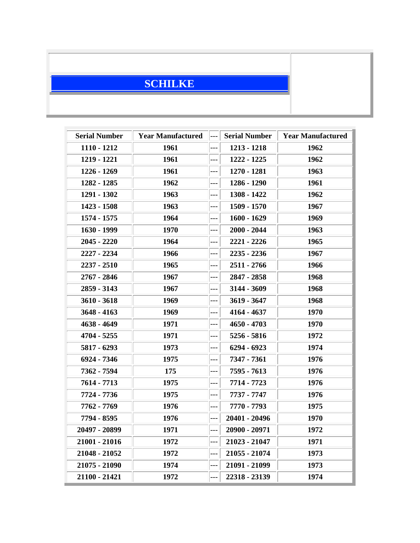## **SCHILKE**

| <b>Serial Number</b> | <b>Year Manufactured</b> | --- | <b>Serial Number</b> | <b>Year Manufactured</b> |
|----------------------|--------------------------|-----|----------------------|--------------------------|
| $1110 - 1212$        | 1961                     | --- | 1213 - 1218          | 1962                     |
| 1219 - 1221          | 1961                     | --- | 1222 - 1225          | 1962                     |
| 1226 - 1269          | 1961                     | --- | 1270 - 1281          | 1963                     |
| 1282 - 1285          | 1962                     | --- | 1286 - 1290          | 1961                     |
| 1291 - 1302          | 1963                     | --- | 1308 - 1422          | 1962                     |
| 1423 - 1508          | 1963                     | --- | 1509 - 1570          | 1967                     |
| 1574 - 1575          | 1964                     | --- | $1600 - 1629$        | 1969                     |
| 1630 - 1999          | 1970                     | --- | $2000 - 2044$        | 1963                     |
| $2045 - 2220$        | 1964                     | --- | 2221 - 2226          | 1965                     |
| 2227 - 2234          | 1966                     | --- | $2235 - 2236$        | 1967                     |
| 2237 - 2510          | 1965                     | --- | 2511 - 2766          | 1966                     |
| 2767 - 2846          | 1967                     | --- | 2847 - 2858          | 1968                     |
| 2859 - 3143          | 1967                     | --- | 3144 - 3609          | 1968                     |
| $3610 - 3618$        | 1969                     | --- | $3619 - 3647$        | 1968                     |
| $3648 - 4163$        | 1969                     | --- | 4164 - 4637          | 1970                     |
| 4638 - 4649          | 1971                     |     | $4650 - 4703$        | 1970                     |
| 4704 - 5255          | 1971                     | --- | 5256 - 5816          | 1972                     |
| 5817 - 6293          | 1973                     | --- | 6294 - 6923          | 1974                     |
| 6924 - 7346          | 1975                     |     | 7347 - 7361          | 1976                     |
| 7362 - 7594          | 175                      | --- | 7595 - 7613          | 1976                     |
| 7614 - 7713          | 1975                     | --- | 7714 - 7723          | 1976                     |
| 7724 - 7736          | 1975                     | --- | 7737 - 7747          | 1976                     |
| 7762 - 7769          | 1976                     | --- | 7770 - 7793          | 1975                     |
| 7794 - 8595          | 1976                     | --- | 20401 - 20496        | 1970                     |
| 20497 - 20899        | 1971                     | --- | 20900 - 20971        | 1972                     |
| 21001 - 21016        | 1972                     | --- | 21023 - 21047        | 1971                     |
| 21048 - 21052        | 1972                     | --- | 21055 - 21074        | 1973                     |
| 21075 - 21090        | 1974                     | --- | 21091 - 21099        | 1973                     |
| 21100 - 21421        | 1972                     | --- | 22318 - 23139        | 1974                     |